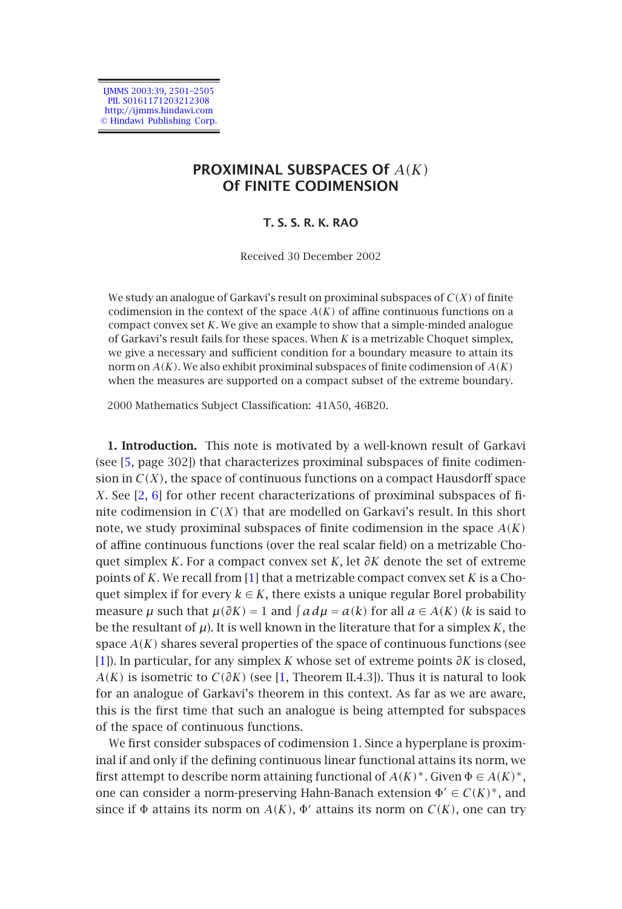IJMMS 2003:39, 2501–2505 PII. S0161171203212308 http://ijmms.hindawi.com © Hindawi Publishing Corp.

# **PROXIMINAL SUBSPACES Of** *A(K)* **Of FINITE CODIMENSION**

### **T. S. S. R. K. RAO**

#### Received 30 December 2002

We study an analogue of Garkavi's result on proximinal subspaces of *C(X)* of finite co[dim](#page-4-0)ension in the context of the space  $A(K)$  of affine continuous functions on a compact convex set *K*. We give an example to show that a simple-minded analogue of Garkavi's result fails for these spaces. When *K* is a metrizable Choquet simplex, we gi[ve](#page-4-1) [a n](#page-4-2)ecessary and sufficient condition for a boundary measure to attain its norm on *A(K)*. We also exhibit proximinal subspaces of finite codimension of *A(K)* when the measures are supported on a compact subset of the extreme boundary.

2000 Mathematics Subject Classification: 41A50, 46B20.

**1. Introduction.** This note is motivated by a well-known result of Garkavi (see [5, page 302]) that characterizes proximinal subspaces of finite codimension in  $C(X)$ , the space of continuous functions on a compact Hausdorff space *X*. See [2, 6] for other recent characterizations of proximinal subspaces of fi[nit](#page-4-3)e codimension in  $C(X)$  that are modelled on Garkavi's result. In this short note, we study proximinal subsp[ac](#page-4-3)es of finite codimension in the space *A(K)* of affine continuous functions (over the real scalar field) on a metrizable Choquet simplex *K*. For a compact convex set *K*, let *∂K* denote the set of extreme points of *K*. We recall from [1] that a metrizable compact convex set *K* is a Choquet simplex if for every  $k \in K$ , there exists a unique regular Borel probability measure  $\mu$  such that  $\mu(\partial K) = 1$  and  $\int a d\mu = a(k)$  for all  $a \in A(K)$  (*k* is said to be the resultant of  $\mu$ ). It is well known in the literature that for a simplex *K*, the space *A(K)* shares several properties of the space of continuous functions (see [1]). In particular, for any simplex *K* whose set of extreme points *∂K* is closed, *A(K)* is isometric to *C(∂K)* (see [1, Theorem II.4.3]). Thus it is natural to look for an analogue of Garkavi's theorem in this context. As far as we are aware, this is the first time that such an analogue is being attempted for subspaces of the space of continuous functions.

We first consider subspaces of codimension 1. Since a hyperplane is proximinal if and only if the defining continuous linear functional attains its norm, we first attempt to describe norm attaining functional of  $A(K)^*$ . Given  $\Phi \in A(K)^*$ , one can consider a norm-preserving Hahn-Banach extension  $\Phi' \in C(K)^*$ , and since if  $\Phi$  attains its norm on  $A(K)$ ,  $\Phi'$  attains its norm on  $C(K)$ , one can try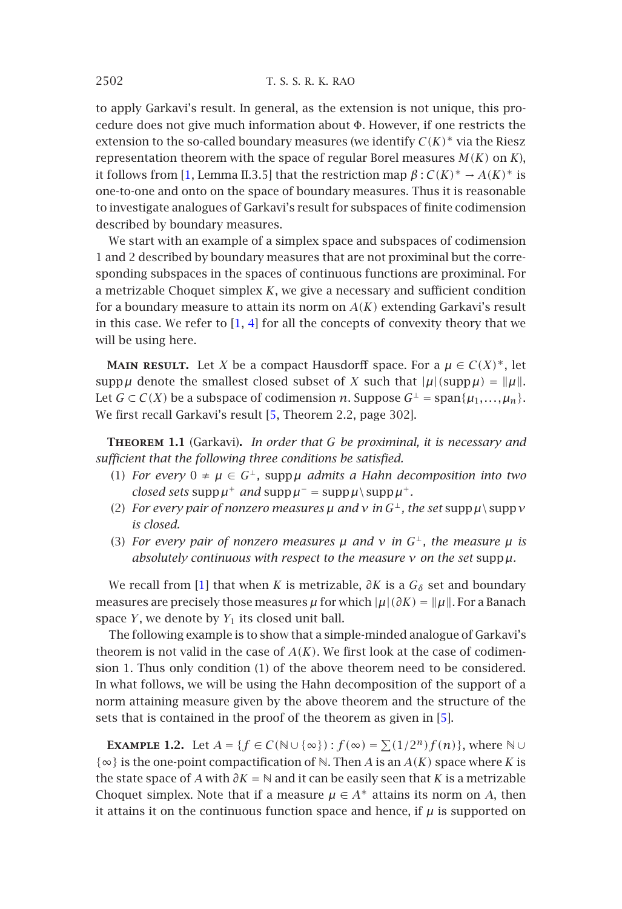2502 T. S. S. R. K. RAO

to apply Garkavi's result. In general, as the extension is not unique, this procedure does not give much information about  $\Phi$ . However, if one restricts the extension to the so-called boundary measures (we identify  $C(K)^*$  via the Riesz representation theorem with the space of regular Borel measures  $M(K)$  on  $K$ ), it follows from [1, Lemm[a I](#page-4-3)[I.3](#page-4-4).5] that the restriction map  $\beta$  :  $C(K)^* \rightarrow A(K)^*$  is one-to-one and onto on the space of boundary measures. Thus it is reasonable to investigate analogues of Garkavi's result for subspaces of finite codimension described by boundary measures.

We start with an example of a simplex space and subspaces of codimension 1 and 2 described by boundary measures that are not proximinal but the corresponding subspaces in the spa[ces](#page-4-0) of continuous functions are proximinal. For a metrizable Choquet simplex *K*, we give a necessary and sufficient condition for a boundary measure to attain its norm on *A(K)* extending Garkavi's result in this case. We refer to  $[1, 4]$  for all the concepts of convexity theory that we will be using here.

**MAIN RESULT.** Let *X* be a compact Hausdorff space. For a  $\mu \in C(X)^*$ , let supp  $\mu$  denote the smallest closed subset of *X* such that  $|\mu|(\text{supp}\,\mu) = ||\mu||$ . Let *G* ⊂ *C*(*X*) be a subspace of codimension *n*. Suppose *G*<sup>⊥</sup> = span{ $\mu_1$ ,..., $\mu_n$ }. We first recall Garkavi's result [5, Theorem 2.2, page 302].

**Theorem 1.1** ([Ga](#page-4-3)rkavi)**.** *In order that G be proximinal, it is necessary and sufficient that the following three conditions be satisfied.*

- (1) *For every*  $0 \neq \mu \in G^{\perp}$ , supp $\mu$  *admits a Hahn decomposition into two closed sets* supp  $\mu^+$  *and* supp  $\mu^-$  = supp  $\mu \setminus \text{supp }\mu^+$ *.*
- (2) *For every pair of nonzero measures*  $\mu$  *and*  $\nu$  *in*  $G^{\perp}$ *, the set* supp  $\mu \setminus \text{supp } \nu$ *is closed.*
- (3) *For every pair of nonzero measures*  $\mu$  *and*  $\nu$  *in*  $G^{\perp}$ *, the measure*  $\mu$  *is absolutely continuous with respect to the measure ν on the set* supp*µ.*

We recall from [1] that when *K* is metrizable,  $\partial K$  is a  $G_{\delta}$  set and boundary measures are precisely those measures  $\mu$  for which  $|\mu|(\partial K) = ||\mu||$ . For a Banach space  $Y$ , we denote by  $Y_1$  its closed unit ball.

The following example is to show that a simple-minded analogue of Garkavi's theorem is not valid in the case of  $A(K)$ . We first look at the case of codimension 1. Thus only condition (1) of the above theorem need to be considered. In what follows, we will be using the Hahn decomposition of the support of a norm attaining measure given by the above theorem and the structure of the sets that is contained in the proof of the theorem as given in [5].

**EXAMPLE 1.2.** Let  $A = \{f \in C(\mathbb{N} \cup \{\infty\}) : f(\infty) = \sum (1/2^n) f(n)\}$ , where  $\mathbb{N} \cup$ {∞} is the one-point compactification of N. Then *A* is an *A(K)* space where *K* is the state space of *A* with *∂K* = N and it can be easily seen that *K* is a metrizable Choquet simplex. Note that if a measure  $\mu \in A^*$  attains its norm on *A*, then it attains it on the continuous function space and hence, if  $\mu$  is supported on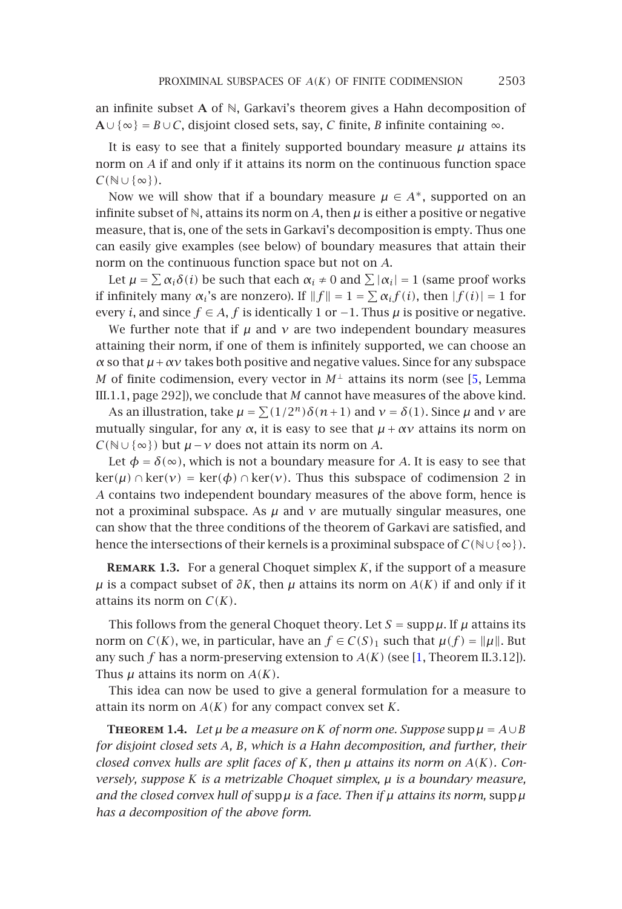#### PROXIMINAL SUBSPACES OF *A(K)* OF FINITE CODIMENSION 2503

an infinite subset **A** of N, Garkavi's theorem gives a Hahn decomposition of **A**∪{∞} = *B*∪*C*, disjoint closed sets, say, *C* finite, *B* infinite containing ∞.

It is easy to see that a finitely supported boundary measure  $\mu$  attains its norm on *A* if and only if it attains its norm on the continuous function space *C(*N∪ {∞}*)*.

Now we will show that if a boundary measure  $\mu \in A^*$ , supported on an infinite subset of  $\mathbb{N}$ , attains its norm on *A*, then  $\mu$  is either a positive or negative measure, that is, one of the sets in Garkavi's decomposition is empty[. T](#page-4-0)hus one can easily give examples (see below) of boundary measures that attain their norm on the continuous function space but not on *A*.

Let  $\mu = \sum \alpha_i \delta(i)$  be such that each  $\alpha_i \neq 0$  and  $\sum |\alpha_i| = 1$  (same proof works if infinitely many  $\alpha_i$ 's are nonzero). If  $||f|| = 1 = \sum \alpha_i f(i)$ , then  $|f(i)| = 1$  for every *i*, and since  $f \in A$ , *f* is identically 1 or −1. Thus  $\mu$  is positive or negative.

We further note that if  $\mu$  and  $\nu$  are two independent boundary measures attaining their norm, if one of them is infinitely supported, we can choose an *α* so that *µ*+*αν* takes both positive and negative values. Since for any subspace *M* of finite codimension, every vector in  $M^{\perp}$  attains its norm (see [5, Lemma III.1.1, page 292]), we conclude that *M* cannot have measures of the above kind.

As an illustration, take  $\mu = \sum (1/2^n) \delta(n+1)$  and  $\nu = \delta(1)$ . Since  $\mu$  and  $\nu$  are mutually singular, for any  $\alpha$ , it is easy to see that  $\mu + \alpha \nu$  attains its norm on *C(*N∪ {∞}*)* but *µ*−*ν* does not attain its norm on *A*.

Let  $\phi = \delta(\infty)$ , which is not a boundary measure for *A*. It is easy to see that  $\ker(\mu) \cap \ker(\nu) = \ker(\phi) \cap \ker(\nu)$ . Thus this subspace of codimension 2 in *A* contains two independent boundary measures of the above form, hence is not a proximinal subspace. As  $\mu$  and  $\nu$  are mutually sin[gu](#page-4-3)lar measures, one can show that the three conditions of the theorem of Garkavi are satisfied, and hence the intersections of their kernels is a proximinal subspace of  $C(\mathbb{N}\cup\{\infty\})$ .

**Remark 1.3.** For a general Choquet simplex *K*, if the support of a measure *µ* is a compact subset of  $\partial K$ , then *µ* attains its norm on  $A(K)$  if and only if it attains its norm on *C(K)*.

This follows from the general Choquet theory. Let  $S = \text{supp }\mu$ . If  $\mu$  attains its norm on *C*(*K*), we, in particular, have an  $f \in C(S)_1$  such that  $\mu(f) = ||\mu||$ . But any such *f* has a norm-preserving extension to *A(K)* (see [1, Theorem II.3.12]). Thus  $\mu$  attains its norm on  $A(K)$ .

This idea can now be used to give a general formulation for a measure to attain its norm on *A(K)* for any compact convex set *K*.

**THEOREM 1.4.** *Let*  $\mu$  *be a measure on K of norm one. Suppose* supp  $\mu = A \cup B$ *for disjoint closed sets A, B, which is a Hahn decomposition, and further, their closed convex hulls are split faces of K, then µ attains its norm on A(K). Conversely, suppose K is a metrizable Choquet simplex, µ is a boundary measure, and the closed convex hull of* supp*µ is a face. Then if µ attains its norm,* supp*µ has a decomposition of the above form.*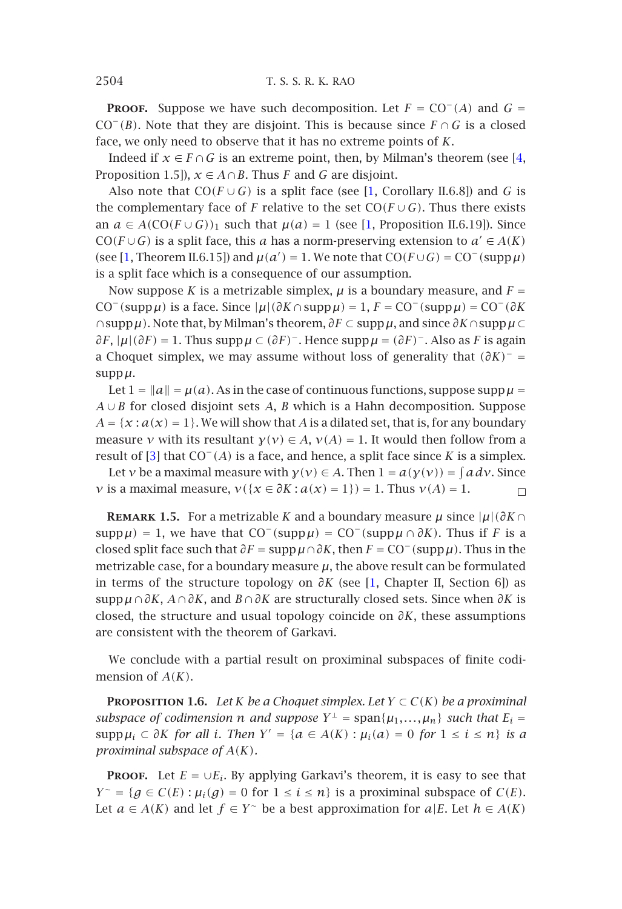2504 T. S. S. R. K. RAO

**PROOF.** Suppose we have such decomposition. Let  $F = CO^{-}(A)$  and  $G =$  $CO^-(B)$ . Note that they are disjoint. This is because since  $F \cap G$  is a closed face, we only need to observe that it has no extreme points of *K*.

Indeed if  $x \in F \cap G$  is an extreme point, then, by Milman's theorem (see [4, Proposition 1.5]),  $x \in A \cap B$ . Thus *F* and *G* are disjoint.

Also note that  $CO(F \cup G)$  is a split face (see [1, Corollary II.6.8]) and *G* is the complementary face of *F* relative to the set  $CO(F \cup G)$ . Thus there exists an  $a \in A(CO(F \cup G))_1$  such that  $\mu(a) = 1$  (see [1, Proposition II.6.19]). Since  $CO(F \cup G)$  is a split face, this *a* has a norm-preserving extension to  $a' \in A(K)$ (see [1, Theorem II.6.15]) and  $\mu(a') = 1$ . We note that  $CO(F \cup G) = CO^{-}(supp \mu)$ is a split face which is a consequence of our assumption.

Now suppose *K* is a metrizable simplex,  $\mu$  is a boundary measure, and  $F =$  $CO^{-}$ (supp  $\mu$ ) is a face. Since  $|\mu|(\partial K \cap \text{supp}\mu) = 1$ ,  $F = CO^{-}$ (supp  $\mu$ ) = CO<sup>-</sup> $(\partial K)$ ∩supp*µ)*. Note that, by Milman's theorem, *∂F* ⊂ supp*µ*, and since *∂K*∩supp*µ*⊂ *∂F*, |*µ*|*(∂F)* = 1. Thus supp*µ* ⊂ *(∂F)*−. Hence supp*µ* = *(∂F)*−. Also as *F* is again a Choquet simplex, we may assume without loss of generality that *(∂K)*<sup>−</sup> = supp*µ*.

Let  $1 = ||a|| = \mu(a)$ . As in the case of continuous functions, suppose supp  $\mu =$ *A* ∪ *B* for closed disjoint sets *A*, *B* which is a Hahn decomposition. Suppose  $A = \{x : a(x) = 1\}$ . We will show that *A* is a dilated set, that is, for any boundary measure *ν* with its resultant  $\gamma(v) \in A$ ,  $\nu(A) = 1$ . [It](#page-4-3) would then follow from a result of [3] that CO−*(A)* is a face, and hence, a split face since *K* is a simplex.

Let *ν* be a maximal measure with  $\gamma(v) \in A$ . Then  $1 = a(\gamma(v)) = \int a dv$ . Since *ν* is a maximal measure,  $v({x \in \partial K : a(x) = 1}) = 1$ . Thus  $v(A) = 1$ .  $\Box$ 

**REMARK 1.5.** For a metrizable *K* and a boundary measure  $\mu$  since  $|\mu| (\partial K \cap$  $\text{supp}\,\mu$ ) = 1, we have that  $\text{CO}^-(\text{supp}\,\mu) = \text{CO}^-(\text{supp}\,\mu \cap \partial K)$ . Thus if *F* is a closed split face such that  $\partial F = \text{supp}\,\mu \cap \partial K$ , then  $F = \text{CO}^{-}(\text{supp}\,\mu)$ . Thus in the metrizable case, for a boundary measure  $\mu$ , the above result can be formulated in terms of the structure topology on *∂K* (see [1, Chapter II, Section 6]) as supp*µ* ∩*∂K*, *A*∩*∂K*, and *B* ∩*∂K* are structurally closed sets. Since when *∂K* is closed, the structure and usual topology coincide on *∂K*, these assumptions are consistent with the theorem of Garkavi.

We conclude with a partial result on proximinal subspaces of finite codimension of *A(K)*.

**PROPOSITION 1.6.** *Let K be a Choquet simplex. Let*  $Y \subset C(K)$  *be a proximinal subspace of codimension n and suppose*  $Y^{\perp}$  = span $\{\mu_1, \ldots, \mu_n\}$  *such that*  $E_i$  = supp  $\mu_i \subset \partial K$  *for all i. Then*  $Y' = \{a \in A(K) : \mu_i(a) = 0 \text{ for } 1 \le i \le n\}$  *is a proximinal subspace of A(K).*

**PROOF.** Let  $E = \bigcup E_i$ . By applying Garkavi's theorem, it is easy to see that *Y* ∼ = { $g \in C(E)$  :  $\mu_i(g) = 0$  for  $1 \le i \le n$ } is a proximinal subspace of *C(E)*. Let *a* ∈ *A*(*K*) and let *f* ∈ *Y* ∼ be a best approximation for *a*|*E*. Let *h* ∈ *A*(*K*)